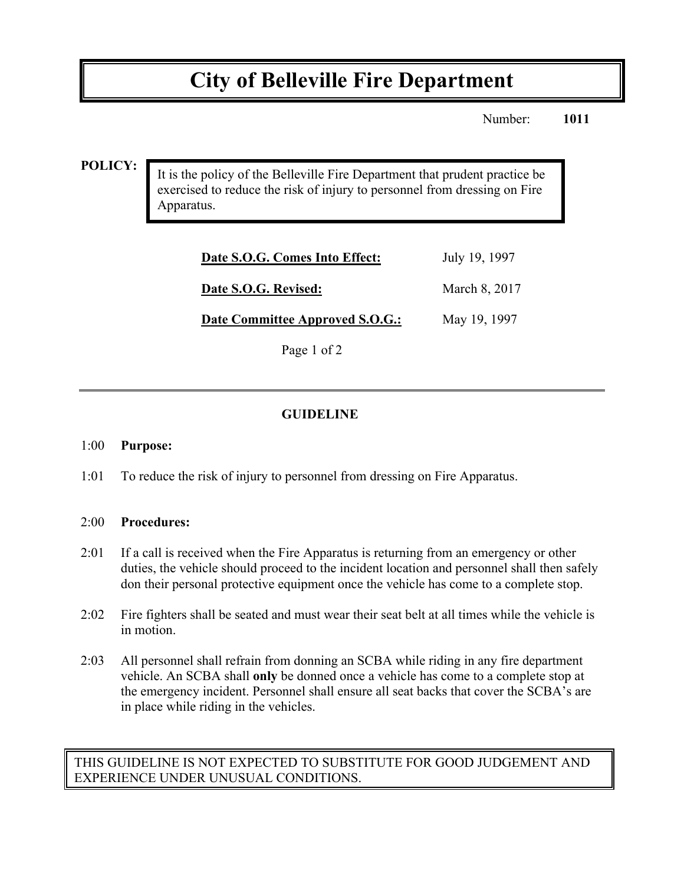# **City of Belleville Fire Department**

Number: **1011**

#### **POLICY:**

It is the policy of the Belleville Fire Department that prudent practice be exercised to reduce the risk of injury to personnel from dressing on Fire Apparatus.

| Date S.O.G. Comes Into Effect:  | July 19, 1997 |
|---------------------------------|---------------|
| Date S.O.G. Revised:            | March 8, 2017 |
| Date Committee Approved S.O.G.: | May 19, 1997  |

Page 1 of 2

## **GUIDELINE**

#### 1:00 **Purpose:**

1:01 To reduce the risk of injury to personnel from dressing on Fire Apparatus.

#### 2:00 **Procedures:**

- 2:01 If a call is received when the Fire Apparatus is returning from an emergency or other duties, the vehicle should proceed to the incident location and personnel shall then safely don their personal protective equipment once the vehicle has come to a complete stop.
- 2:02 Fire fighters shall be seated and must wear their seat belt at all times while the vehicle is in motion.
- 2:03 All personnel shall refrain from donning an SCBA while riding in any fire department vehicle. An SCBA shall **only** be donned once a vehicle has come to a complete stop at the emergency incident. Personnel shall ensure all seat backs that cover the SCBA's are in place while riding in the vehicles.

## THIS GUIDELINE IS NOT EXPECTED TO SUBSTITUTE FOR GOOD JUDGEMENT AND EXPERIENCE UNDER UNUSUAL CONDITIONS.